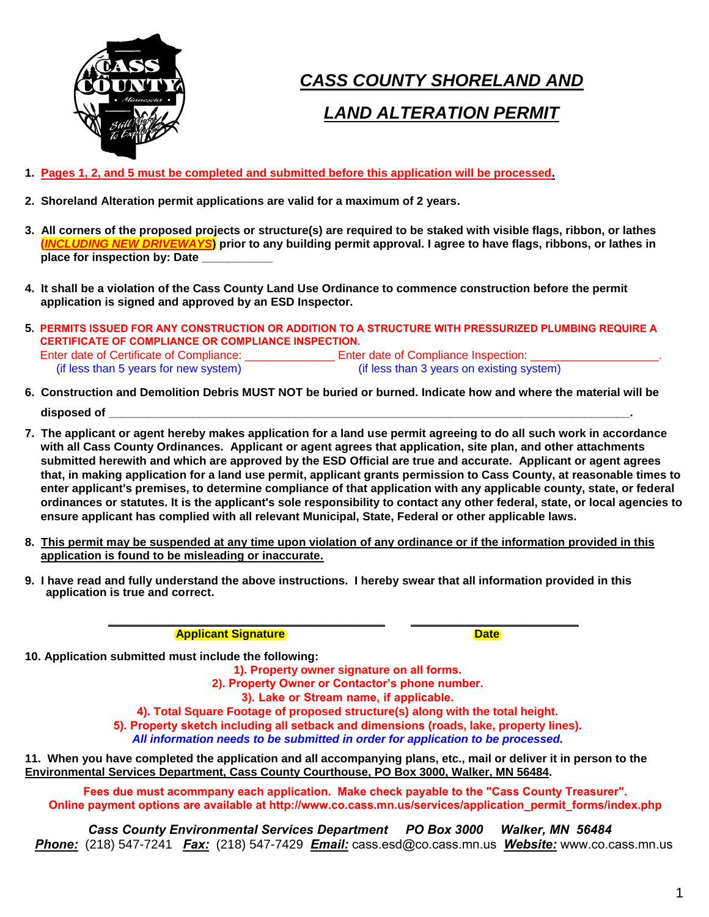

# *CASS COUNTY SHORELAND AND*

### *LAND ALTERATION PERMIT*

- **1. Pages 1, 2, and 5 must be completed and submitted before this application will be processed.**
- **2. Shoreland Alteration permit applications are valid for a maximum of 2 years.**
- **3. All corners of the proposed projects or structure(s) are required to be staked with visible flags, ribbon, or lathes (***INCLUDING NEW DRIVEWAYS***) prior to any building permit approval. I agree to have flags, ribbons, or lathes in place for inspection by: Date \_\_\_\_\_\_\_\_\_\_\_**
- **4. It shall be a violation of the Cass County Land Use Ordinance to commence construction before the permit application is signed and approved by an ESD Inspector.**
- **5. PERMITS ISSUED FOR ANY CONSTRUCTION OR ADDITION TO A STRUCTURE WITH PRESSURIZED PLUMBING REQUIRE A CERTIFICATE OF COMPLIANCE OR COMPLIANCE INSPECTION.** Enter date of Certificate of Compliance: \_\_\_\_\_\_\_\_\_\_\_\_\_\_\_\_\_\_ Enter date of Compliance Inspection: \_\_ (if less than 5 years for new system) (if less than 3 years on existing system)
- **6. Construction and Demolition Debris MUST NOT be buried or burned. Indicate how and where the material will be** disposed of
- **7. The applicant or agent hereby makes application for a land use permit agreeing to do all such work in accordance with all Cass County Ordinances. Applicant or agent agrees that application, site plan, and other attachments submitted herewith and which are approved by the ESD Official are true and accurate. Applicant or agent agrees that, in making application for a land use permit, applicant grants permission to Cass County, at reasonable times to enter applicant's premises, to determine compliance of that application with any applicable county, state, or federal ordinances or statutes. It is the applicant's sole responsibility to contact any other federal, state, or local agencies to ensure applicant has complied with all relevant Municipal, State, Federal or other applicable laws.**
- **8. This permit may be suspended at any time upon violation of any ordinance or if the information provided in this application is found to be misleading or inaccurate.**
- **9. I have read and fully understand the above instructions. I hereby swear that all information provided in this application is true and correct.**

**Applicant Signature Date is a structure of the Second Date Date** 

**10. Application submitted must include the following:**

**1). Property owner signature on all forms.**

**2). Property Owner or Contactor's phone number.**

**\_\_\_\_\_\_\_\_\_\_\_\_\_\_\_\_\_\_\_\_\_\_\_\_\_\_\_\_\_\_\_\_\_\_\_\_\_\_\_\_\_\_\_ \_\_\_\_\_\_\_\_\_\_\_\_\_\_\_\_\_\_\_\_\_\_\_\_\_\_** 

**3). Lake or Stream name, if applicable.**

**4). Total Square Footage of proposed structure(s) along with the total height.**

**5). Property sketch including all setback and dimensions (roads, lake, property lines).** *All information needs to be submitted in order for application to be processed.* 

**11. When you have completed the application and all accompanying plans, etc., mail or deliver it in person to the Environmental Services Department, Cass County Courthouse, PO Box 3000, Walker, MN 56484.** 

**Fees due must acommpany each application. Make check payable to the "Cass County Treasurer". Online payment options are available at http://www.co.cass.mn.us/services/application\_permit\_forms/index.php**

*Cass County Environmental Services Department PO Box 3000 Walk[er, MN 56484](http://www.co.cass.mn.us/) Phone:* (218) 547-7241 *Fax:* (218) 547-7429 *Email:* cass.esd@co.cass.mn.us *Website:* www.co.cass.mn.us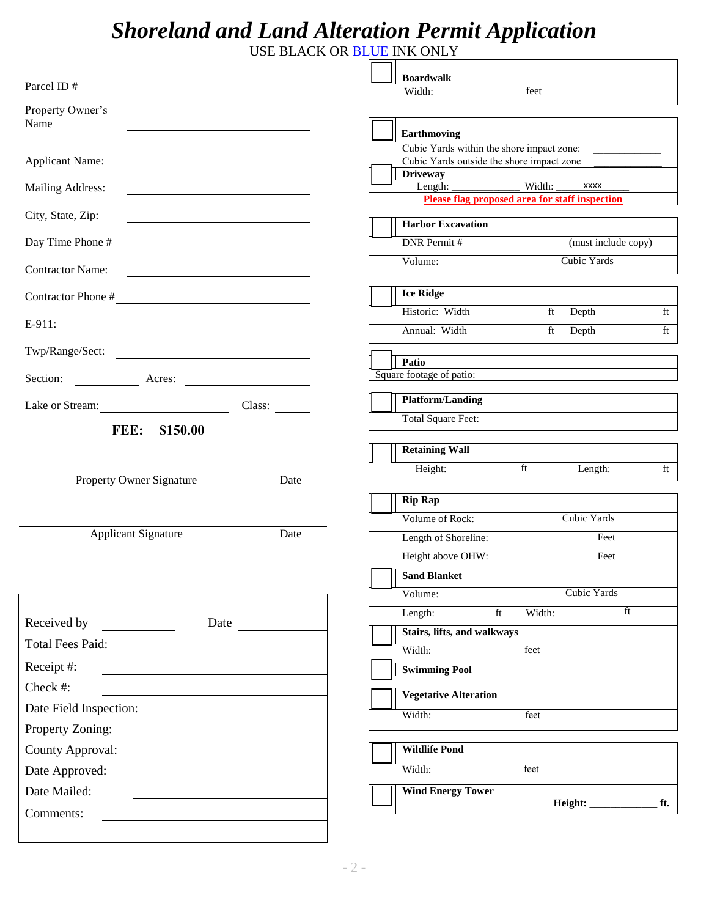## *Shoreland and Land Alteration Permit Application*

USE BLACK OR BLUE INK ONLY

|                                                                                                                                                                                                                                                    | <b>Boardwalk</b>                                             |
|----------------------------------------------------------------------------------------------------------------------------------------------------------------------------------------------------------------------------------------------------|--------------------------------------------------------------|
| Parcel ID#                                                                                                                                                                                                                                         | feet<br>Width:                                               |
| Property Owner's<br>Name                                                                                                                                                                                                                           |                                                              |
|                                                                                                                                                                                                                                                    | Earthmoving                                                  |
|                                                                                                                                                                                                                                                    | Cubic Yards within the shore impact zone:                    |
| <b>Applicant Name:</b><br><u> 1989 - Johann Harry Harry Harry Harry Harry Harry Harry Harry Harry Harry Harry Harry Harry Harry Harry Harry</u>                                                                                                    | Cubic Yards outside the shore impact zone<br><b>Driveway</b> |
| Mailing Address:<br><u> 1989 - Johann Barbara, martxa alemaniar a</u>                                                                                                                                                                              | Length: Width:<br><b>XXXX</b>                                |
| City, State, Zip:                                                                                                                                                                                                                                  | <b>Please flag proposed area for staff inspection</b>        |
|                                                                                                                                                                                                                                                    | <b>Harbor Excavation</b>                                     |
| Day Time Phone #<br><u> 1989 - Johann Barn, mars ann an t-Amhair an t-Amhair an t-Amhair an t-Amhair an t-Amhair an t-Amhair an t-Amh</u>                                                                                                          | <b>DNR</b> Permit #<br>(must include copy)                   |
| <b>Contractor Name:</b><br><u> 1980 - Johann Barn, mars ann an t-Amhain Aonaich an t-Aonaich an t-Aonaich ann an t-Aonaich ann an t-Aonaich</u>                                                                                                    | Cubic Yards<br>Volume:                                       |
| Contractor Phone #                                                                                                                                                                                                                                 | <b>Ice Ridge</b>                                             |
| E-911:                                                                                                                                                                                                                                             | Historic: Width<br>ft Depth<br>ft                            |
|                                                                                                                                                                                                                                                    | Annual: Width<br>ft<br>Depth<br>ft                           |
| Twp/Range/Sect:                                                                                                                                                                                                                                    | Patio                                                        |
|                                                                                                                                                                                                                                                    | Square footage of patio:                                     |
|                                                                                                                                                                                                                                                    | <b>Platform/Landing</b>                                      |
| Lake or Stream:<br>Class:                                                                                                                                                                                                                          | <b>Total Square Feet:</b>                                    |
| FEE:<br>\$150.00                                                                                                                                                                                                                                   |                                                              |
|                                                                                                                                                                                                                                                    | <b>Retaining Wall</b>                                        |
| Property Owner Signature<br>Date                                                                                                                                                                                                                   | Height:<br>ft<br>Length:<br>ft                               |
|                                                                                                                                                                                                                                                    | <b>Rip Rap</b>                                               |
|                                                                                                                                                                                                                                                    | Cubic Yards<br>Volume of Rock:                               |
| <b>Applicant Signature</b><br>Date                                                                                                                                                                                                                 | Length of Shoreline:<br>Feet                                 |
|                                                                                                                                                                                                                                                    | Height above OHW:<br>Feet                                    |
|                                                                                                                                                                                                                                                    | <b>Sand Blanket</b>                                          |
|                                                                                                                                                                                                                                                    | Cubic Yards<br>Volume:                                       |
|                                                                                                                                                                                                                                                    | ft<br>Width:<br>Length:<br>ft                                |
| Received by                                                                                                                                                                                                                                        | Stairs, lifts, and walkways                                  |
| Total Fees Paid:                                                                                                                                                                                                                                   | Width:<br>feet                                               |
| Receipt #:<br><u> 1980 - Andrea Albert III, martin a bhaile an t-Albert III, an t-Albert III, an t-Albert III, an t-Albert III, an t-Albert III, an t-Albert III, an t-Albert III, an t-Albert III, an t-Albert III, an t-Albert III, an t-Alb</u> | <b>Swimming Pool</b>                                         |
| Check #:                                                                                                                                                                                                                                           | <b>Vegetative Alteration</b>                                 |
| Date Field Inspection:                                                                                                                                                                                                                             | Width:<br>feet                                               |
| Property Zoning:<br><u> 1989 - Johann Stein, mars an t-</u>                                                                                                                                                                                        |                                                              |
| County Approval:                                                                                                                                                                                                                                   | <b>Wildlife Pond</b>                                         |
| Date Approved:                                                                                                                                                                                                                                     | feet<br>Width:                                               |
| Date Mailed:                                                                                                                                                                                                                                       | <b>Wind Energy Tower</b>                                     |
| Comments:                                                                                                                                                                                                                                          |                                                              |
|                                                                                                                                                                                                                                                    |                                                              |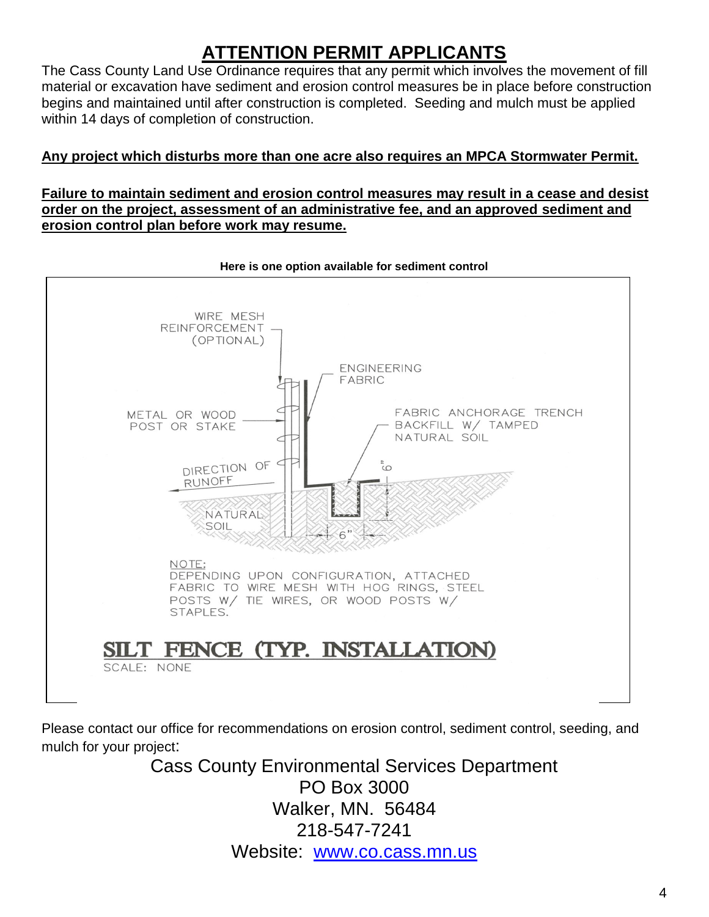## **ATTENTION PERMIT APPLICANTS**

The Cass County Land Use Ordinance requires that any permit which involves the movement of fill material or excavation have sediment and erosion control measures be in place before construction begins and maintained until after construction is completed. Seeding and mulch must be applied within 14 days of completion of construction.

#### **Any project which disturbs more than one acre also requires an MPCA Stormwater Permit.**

#### **Failure to maintain sediment and erosion control measures may result in a cease and desist order on the project, assessment of an administrative fee, and an approved sediment and erosion control plan before work may resume.**



**Here is one option available for sediment control** 

Please contact our office for recommendations on erosion control, sediment control, seeding, and mulch for your project:

> Cass County Environmental Services Department PO Box 3000 Walker, MN. 56484 218-547-7241 Website: [www.co.cass.mn.us](http://www.co.cass.mn.us/)